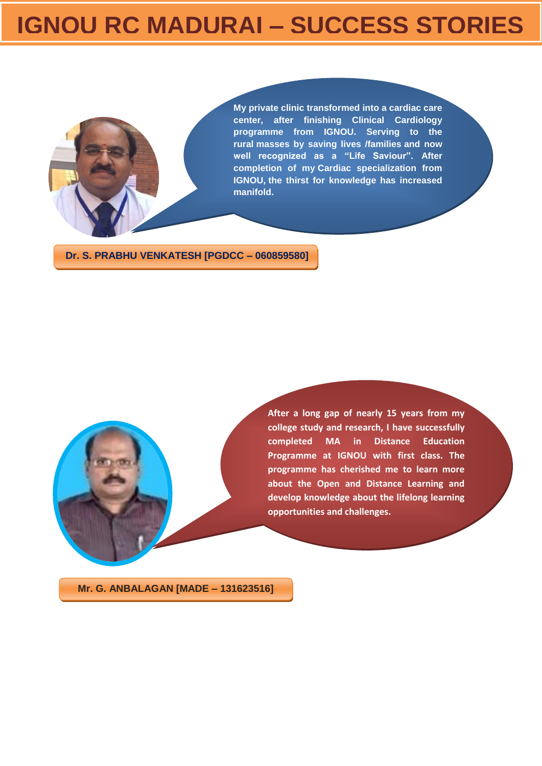## **IGNOU RC MADURAI – SUCCESS STORIES**



**My private clinic transformed into a cardiac care center, after finishing Clinical Cardiology programme from IGNOU. Serving to the rural masses by saving lives /families and now well recognized as a "Life Saviour". After completion of my Cardiac specialization from IGNOU, the thirst for knowledge has increased manifold.**

**Dr. S. PRABHU VENKATESH [PGDCC – 060859580]**

**After a long gap of nearly 15 years from my college study and research, I have successfully completed MA in Distance Education Programme at IGNOU with first class. The programme has cherished me to learn more about the Open and Distance Learning and develop knowledge about the lifelong learning opportunities and challenges.**

**Mr. G. ANBALAGAN [MADE – 131623516]**